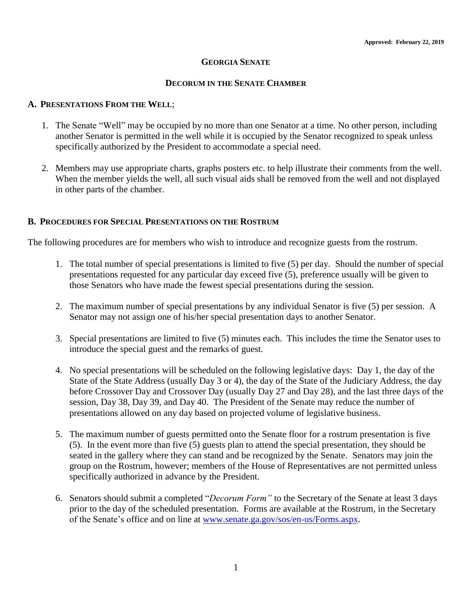## **GEORGIA SENATE**

#### **DECORUM IN THE SENATE CHAMBER**

## **A. PRESENTATIONS FROM THE WELL**;

- 1. The Senate "Well" may be occupied by no more than one Senator at a time. No other person, including another Senator is permitted in the well while it is occupied by the Senator recognized to speak unless specifically authorized by the President to accommodate a special need.
- 2. Members may use appropriate charts, graphs posters etc. to help illustrate their comments from the well. When the member yields the well, all such visual aids shall be removed from the well and not displayed in other parts of the chamber.

#### **B. PROCEDURES FOR SPECIAL PRESENTATIONS ON THE ROSTRUM**

The following procedures are for members who wish to introduce and recognize guests from the rostrum.

- 1. The total number of special presentations is limited to five (5) per day. Should the number of special presentations requested for any particular day exceed five (5), preference usually will be given to those Senators who have made the fewest special presentations during the session.
- 2. The maximum number of special presentations by any individual Senator is five (5) per session. A Senator may not assign one of his/her special presentation days to another Senator.
- 3. Special presentations are limited to five (5) minutes each. This includes the time the Senator uses to introduce the special guest and the remarks of guest.
- 4. No special presentations will be scheduled on the following legislative days: Day 1, the day of the State of the State Address (usually Day 3 or 4), the day of the State of the Judiciary Address, the day before Crossover Day and Crossover Day (usually Day 27 and Day 28), and the last three days of the session, Day 38, Day 39, and Day 40. The President of the Senate may reduce the number of presentations allowed on any day based on projected volume of legislative business.
- 5. The maximum number of guests permitted onto the Senate floor for a rostrum presentation is five (5). In the event more than five (5) guests plan to attend the special presentation, they should be seated in the gallery where they can stand and be recognized by the Senate. Senators may join the group on the Rostrum, however; members of the House of Representatives are not permitted unless specifically authorized in advance by the President.
- 6. Senators should submit a completed "*Decorum Form"* to the Secretary of the Senate at least 3 days prior to the day of the scheduled presentation. Forms are available at the Rostrum, in the Secretary of the Senate's office and on line at [www.senate.ga.gov/sos/en-us/Forms.aspx.](http://www.senate.ga.gov/sos/en-us/Forms.aspx)